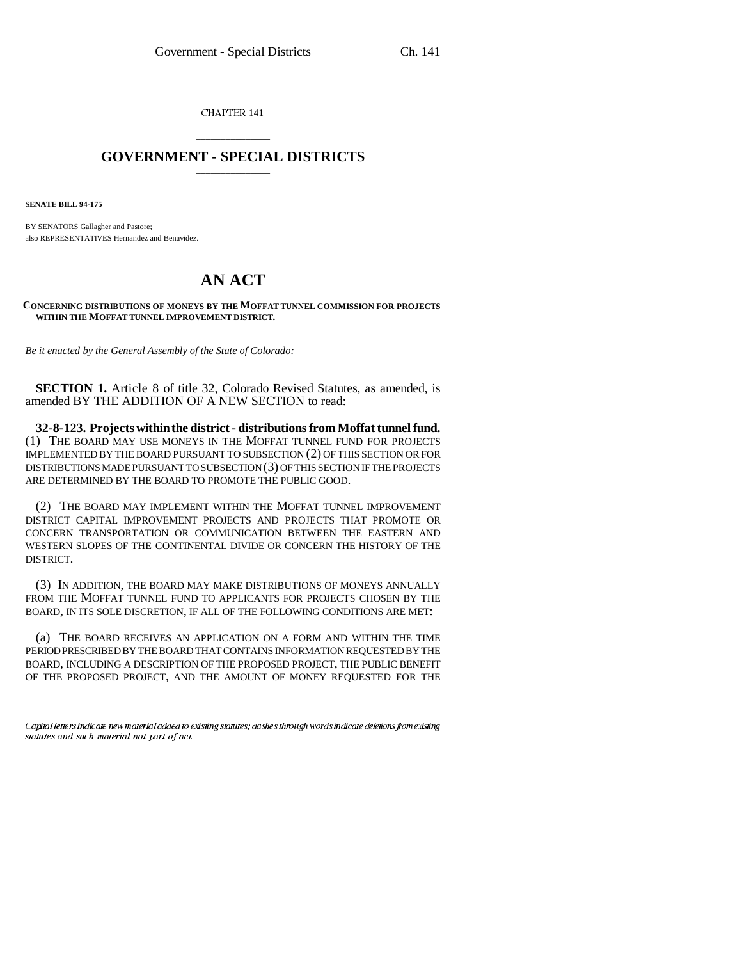CHAPTER 141

## \_\_\_\_\_\_\_\_\_\_\_\_\_\_\_ **GOVERNMENT - SPECIAL DISTRICTS** \_\_\_\_\_\_\_\_\_\_\_\_\_\_\_

**SENATE BILL 94-175**

BY SENATORS Gallagher and Pastore; also REPRESENTATIVES Hernandez and Benavidez.

## **AN ACT**

**CONCERNING DISTRIBUTIONS OF MONEYS BY THE MOFFAT TUNNEL COMMISSION FOR PROJECTS WITHIN THE MOFFAT TUNNEL IMPROVEMENT DISTRICT.**

*Be it enacted by the General Assembly of the State of Colorado:* 

**SECTION 1.** Article 8 of title 32, Colorado Revised Statutes, as amended, is amended BY THE ADDITION OF A NEW SECTION to read:

**32-8-123. Projects within the district - distributions from Moffat tunnel fund.** (1) THE BOARD MAY USE MONEYS IN THE MOFFAT TUNNEL FUND FOR PROJECTS IMPLEMENTED BY THE BOARD PURSUANT TO SUBSECTION (2) OF THIS SECTION OR FOR DISTRIBUTIONS MADE PURSUANT TO SUBSECTION (3) OF THIS SECTION IF THE PROJECTS ARE DETERMINED BY THE BOARD TO PROMOTE THE PUBLIC GOOD.

(2) THE BOARD MAY IMPLEMENT WITHIN THE MOFFAT TUNNEL IMPROVEMENT DISTRICT CAPITAL IMPROVEMENT PROJECTS AND PROJECTS THAT PROMOTE OR CONCERN TRANSPORTATION OR COMMUNICATION BETWEEN THE EASTERN AND WESTERN SLOPES OF THE CONTINENTAL DIVIDE OR CONCERN THE HISTORY OF THE DISTRICT.

an an Sil (3) IN ADDITION, THE BOARD MAY MAKE DISTRIBUTIONS OF MONEYS ANNUALLY FROM THE MOFFAT TUNNEL FUND TO APPLICANTS FOR PROJECTS CHOSEN BY THE BOARD, IN ITS SOLE DISCRETION, IF ALL OF THE FOLLOWING CONDITIONS ARE MET:

(a) THE BOARD RECEIVES AN APPLICATION ON A FORM AND WITHIN THE TIME PERIOD PRESCRIBED BY THE BOARD THAT CONTAINS INFORMATION REQUESTED BY THE BOARD, INCLUDING A DESCRIPTION OF THE PROPOSED PROJECT, THE PUBLIC BENEFIT OF THE PROPOSED PROJECT, AND THE AMOUNT OF MONEY REQUESTED FOR THE

Capital letters indicate new material added to existing statutes; dashes through words indicate deletions from existing statutes and such material not part of act.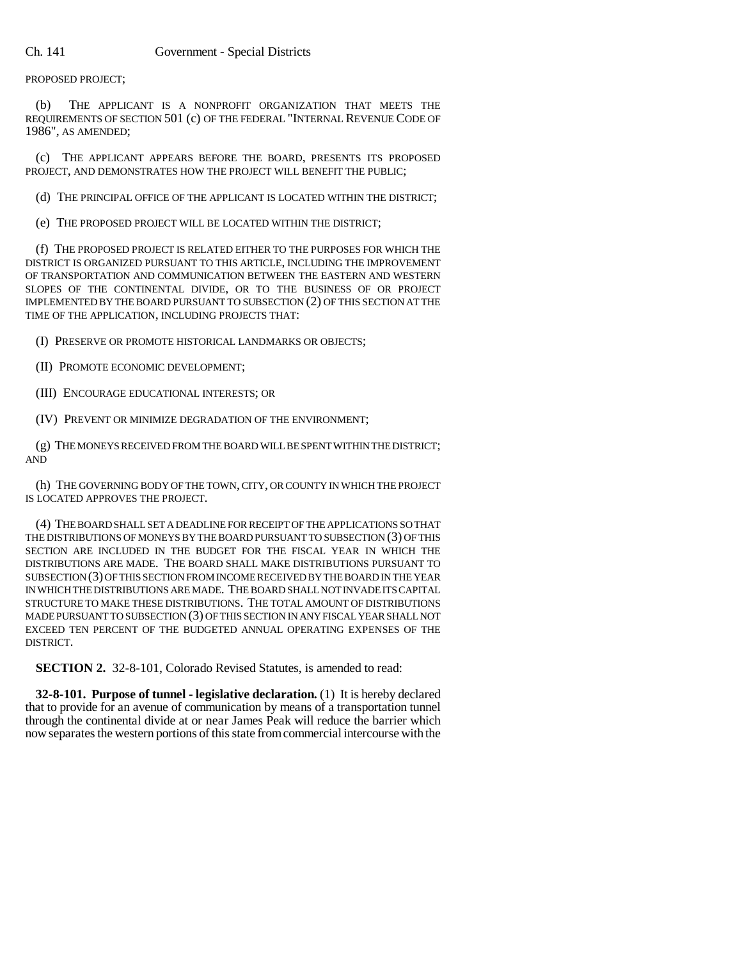PROPOSED PROJECT;

(b) THE APPLICANT IS A NONPROFIT ORGANIZATION THAT MEETS THE REQUIREMENTS OF SECTION 501 (c) OF THE FEDERAL "INTERNAL REVENUE CODE OF 1986", AS AMENDED;

(c) THE APPLICANT APPEARS BEFORE THE BOARD, PRESENTS ITS PROPOSED PROJECT, AND DEMONSTRATES HOW THE PROJECT WILL BENEFIT THE PUBLIC;

(d) THE PRINCIPAL OFFICE OF THE APPLICANT IS LOCATED WITHIN THE DISTRICT;

(e) THE PROPOSED PROJECT WILL BE LOCATED WITHIN THE DISTRICT;

(f) THE PROPOSED PROJECT IS RELATED EITHER TO THE PURPOSES FOR WHICH THE DISTRICT IS ORGANIZED PURSUANT TO THIS ARTICLE, INCLUDING THE IMPROVEMENT OF TRANSPORTATION AND COMMUNICATION BETWEEN THE EASTERN AND WESTERN SLOPES OF THE CONTINENTAL DIVIDE, OR TO THE BUSINESS OF OR PROJECT IMPLEMENTED BY THE BOARD PURSUANT TO SUBSECTION (2) OF THIS SECTION AT THE TIME OF THE APPLICATION, INCLUDING PROJECTS THAT:

(I) PRESERVE OR PROMOTE HISTORICAL LANDMARKS OR OBJECTS;

(II) PROMOTE ECONOMIC DEVELOPMENT;

(III) ENCOURAGE EDUCATIONAL INTERESTS; OR

(IV) PREVENT OR MINIMIZE DEGRADATION OF THE ENVIRONMENT;

(g) THE MONEYS RECEIVED FROM THE BOARD WILL BE SPENT WITHIN THE DISTRICT; AND

(h) THE GOVERNING BODY OF THE TOWN, CITY, OR COUNTY IN WHICH THE PROJECT IS LOCATED APPROVES THE PROJECT.

(4) THE BOARD SHALL SET A DEADLINE FOR RECEIPT OF THE APPLICATIONS SO THAT THE DISTRIBUTIONS OF MONEYS BY THE BOARD PURSUANT TO SUBSECTION (3) OF THIS SECTION ARE INCLUDED IN THE BUDGET FOR THE FISCAL YEAR IN WHICH THE DISTRIBUTIONS ARE MADE. THE BOARD SHALL MAKE DISTRIBUTIONS PURSUANT TO SUBSECTION (3) OF THIS SECTION FROM INCOME RECEIVED BY THE BOARD IN THE YEAR IN WHICH THE DISTRIBUTIONS ARE MADE. THE BOARD SHALL NOT INVADE ITS CAPITAL STRUCTURE TO MAKE THESE DISTRIBUTIONS. THE TOTAL AMOUNT OF DISTRIBUTIONS MADE PURSUANT TO SUBSECTION (3) OF THIS SECTION IN ANY FISCAL YEAR SHALL NOT EXCEED TEN PERCENT OF THE BUDGETED ANNUAL OPERATING EXPENSES OF THE DISTRICT.

**SECTION 2.** 32-8-101, Colorado Revised Statutes, is amended to read:

**32-8-101. Purpose of tunnel - legislative declaration.** (1) It is hereby declared that to provide for an avenue of communication by means of a transportation tunnel through the continental divide at or near James Peak will reduce the barrier which now separates the western portions of this state from commercial intercourse with the